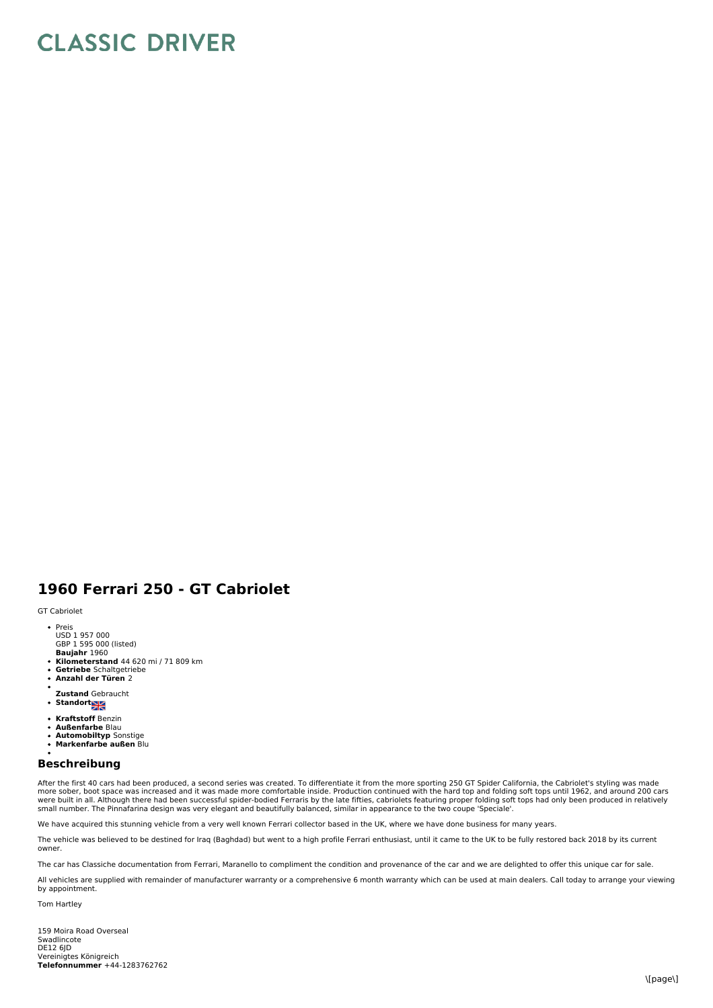## **CLASSIC DRIVER**

## **1960 Ferrari 250 - GT Cabriolet**

GT Cabriolet

- Preis
- USD 1 957 000
- GBP 1 595 000 (listed)<br>**Baujahr** 1960
- **Kilometerstand** 44 620 mi / 71 809 km **Getriebe** Schaltgetriebe
- **Anzahl der Türen** 2
- 
- **Zustand** Gebraucht
- **Standort Standard**
- **Kraftstoff** Benzin
- $\bullet$ **Außenfarbe** Blau
- **Automobiltyp** Sonstige **Markenfarbe außen** Blu
- $\ddot{\phantom{a}}$

## **Beschreibung**

After the first 40 cars had been produced, a second series was created. To differentiate it from the more sporting 250 GT Spider California, the Cabriolet's styling was made more sober, boot space was increased and it was made more comfortable inside. Production continued with the hard top and folding soft tops until 1962, and around 200 cars<br>were built in all. Although there had been successf small number. The Pinnafarina design was very elegant and beautifully balanced, similar in appearance to the two coupe 'Speciale'.

We have acquired this stunning vehicle from a very well known Ferrari collector based in the UK, where we have done business for many years.

The vehicle was believed to be destined for Iraq (Baghdad) but went to a high profile Ferrari enthusiast, until it came to the UK to be fully restored back 2018 by its current owner.

The car has Classiche documentation from Ferrari, Maranello to compliment the condition and provenance of the car and we are delighted to offer this unique car for sale.

All vehicles are supplied with remainder of manufacturer warranty or a comprehensive 6 month warranty which can be used at main dealers. Call today to arrange your viewing by appointment.

Tom Hartley

Vereinigtes Königreich<br>**Telefonnummer** +44-1283762762 159 Moira Road Overseal Swadlincote DE12 6JD